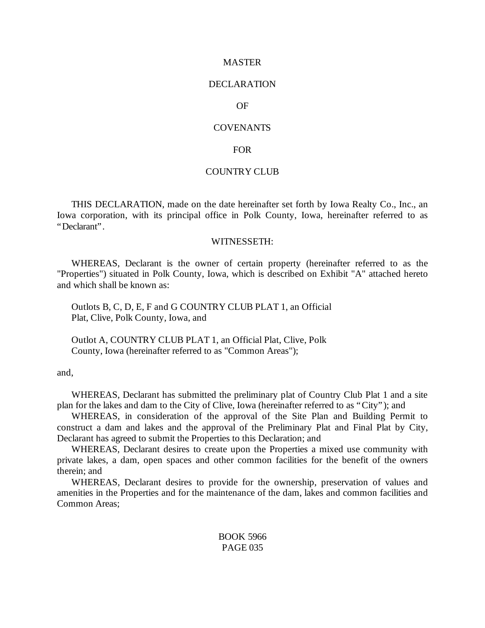#### MASTER

#### DECLARATION

### OF

#### **COVENANTS**

#### FOR

### COUNTRY CLUB

THIS DECLARATION, made on the date hereinafter set forth by Iowa Realty Co., Inc., an Iowa corporation, with its principal office in Polk County, Iowa, hereinafter referred to as "Declarant".

#### WITNESSETH:

WHEREAS, Declarant is the owner of certain property (hereinafter referred to as the "Properties") situated in Polk County, Iowa, which is described on Exhibit "A" attached hereto and which shall be known as:

Outlots B, C, D, E, F and G COUNTRY CLUB PLAT 1, an Official Plat, Clive, Polk County, Iowa, and

Outlot A, COUNTRY CLUB PLAT 1, an Official Plat, Clive, Polk County, Iowa (hereinafter referred to as "Common Areas");

and,

WHEREAS, Declarant has submitted the preliminary plat of Country Club Plat 1 and a site plan for the lakes and dam to the City of Clive, Iowa (hereinafter referred to as "City"); and

WHEREAS, in consideration of the approval of the Site Plan and Building Permit to construct a dam and lakes and the approval of the Preliminary Plat and Final Plat by City, Declarant has agreed to submit the Properties to this Declaration; and

WHEREAS, Declarant desires to create upon the Properties a mixed use community with private lakes, a dam, open spaces and other common facilities for the benefit of the owners therein; and

WHEREAS, Declarant desires to provide for the ownership, preservation of values and amenities in the Properties and for the maintenance of the dam, lakes and common facilities and Common Areas;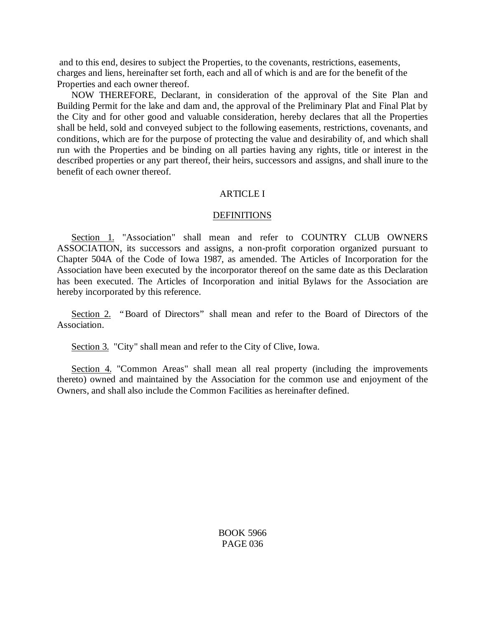and to this end, desires to subject the Properties, to the covenants, restrictions, easements, charges and liens, hereinafter set forth, each and all of which is and are for the benefit of the Properties and each owner thereof.

NOW THEREFORE, Declarant, in consideration of the approval of the Site Plan and Building Permit for the lake and dam and, the approval of the Preliminary Plat and Final Plat by the City and for other good and valuable consideration, hereby declares that all the Properties shall be held, sold and conveyed subject to the following easements, restrictions, covenants, and conditions, which are for the purpose of protecting the value and desirability of, and which shall run with the Properties and be binding on all parties having any rights, title or interest in the described properties or any part thereof, their heirs, successors and assigns, and shall inure to the benefit of each owner thereof.

### ARTICLE I

#### **DEFINITIONS**

Section 1. "Association" shall mean and refer to COUNTRY CLUB OWNERS ASSOCIATION, its successors and assigns, a non-profit corporation organized pursuant to Chapter 504A of the Code of Iowa 1987, as amended. The Articles of Incorporation for the Association have been executed by the incorporator thereof on the same date as this Declaration has been executed. The Articles of Incorporation and initial Bylaws for the Association are hereby incorporated by this reference.

Section 2. "Board of Directors" shall mean and refer to the Board of Directors of the Association.

Section 3. "City" shall mean and refer to the City of Clive, Iowa.

Section 4. "Common Areas" shall mean all real property (including the improvements thereto) owned and maintained by the Association for the common use and enjoyment of the Owners, and shall also include the Common Facilities as hereinafter defined.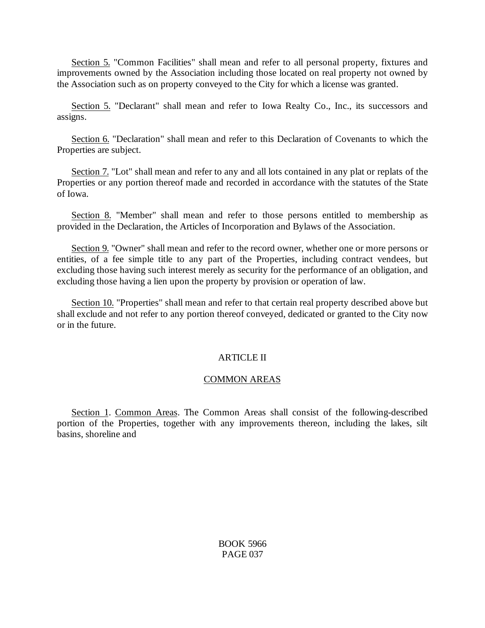Section 5. "Common Facilities" shall mean and refer to all personal property, fixtures and improvements owned by the Association including those located on real property not owned by the Association such as on property conveyed to the City for which a license was granted.

Section 5. "Declarant" shall mean and refer to Iowa Realty Co., Inc., its successors and assigns.

Section 6. "Declaration" shall mean and refer to this Declaration of Covenants to which the Properties are subject.

Section 7. "Lot" shall mean and refer to any and all lots contained in any plat or replats of the Properties or any portion thereof made and recorded in accordance with the statutes of the State of Iowa.

Section 8. "Member" shall mean and refer to those persons entitled to membership as provided in the Declaration, the Articles of Incorporation and Bylaws of the Association.

Section 9. "Owner" shall mean and refer to the record owner, whether one or more persons or entities, of a fee simple title to any part of the Properties, including contract vendees, but excluding those having such interest merely as security for the performance of an obligation, and excluding those having a lien upon the property by provision or operation of law.

Section 10. "Properties" shall mean and refer to that certain real property described above but shall exclude and not refer to any portion thereof conveyed, dedicated or granted to the City now or in the future.

# ARTICLE II

# COMMON AREAS

Section 1. Common Areas. The Common Areas shall consist of the following-described portion of the Properties, together with any improvements thereon, including the lakes, silt basins, shoreline and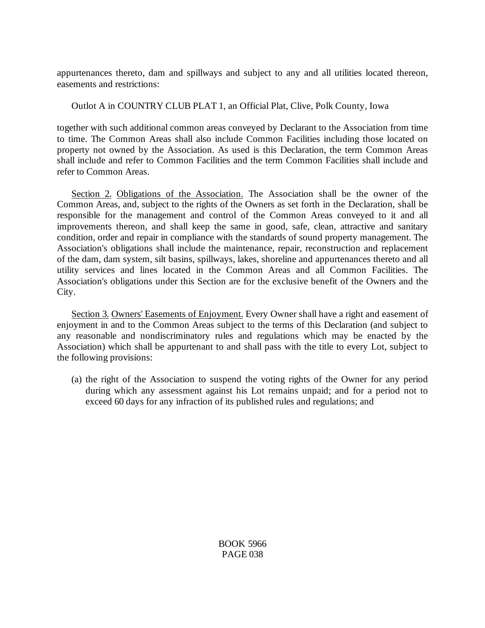appurtenances thereto, dam and spillways and subject to any and all utilities located thereon, easements and restrictions:

Outlot A in COUNTRY CLUB PLAT 1, an Official Plat, Clive, Polk County, Iowa

together with such additional common areas conveyed by Declarant to the Association from time to time. The Common Areas shall also include Common Facilities including those located on property not owned by the Association. As used is this Declaration, the term Common Areas shall include and refer to Common Facilities and the term Common Facilities shall include and refer to Common Areas.

Section 2. Obligations of the Association. The Association shall be the owner of the Common Areas, and, subject to the rights of the Owners as set forth in the Declaration, shall be responsible for the management and control of the Common Areas conveyed to it and all improvements thereon, and shall keep the same in good, safe, clean, attractive and sanitary condition, order and repair in compliance with the standards of sound property management. The Association's obligations shall include the maintenance, repair, reconstruction and replacement of the dam, dam system, silt basins, spillways, lakes, shoreline and appurtenances thereto and all utility services and lines located in the Common Areas and all Common Facilities. The Association's obligations under this Section are for the exclusive benefit of the Owners and the City.

Section 3. Owners' Easements of Enjoyment. Every Owner shall have a right and easement of enjoyment in and to the Common Areas subject to the terms of this Declaration (and subject to any reasonable and nondiscriminatory rules and regulations which may be enacted by the Association) which shall be appurtenant to and shall pass with the title to every Lot, subject to the following provisions:

(a) the right of the Association to suspend the voting rights of the Owner for any period during which any assessment against his Lot remains unpaid; and for a period not to exceed 60 days for any infraction of its published rules and regulations; and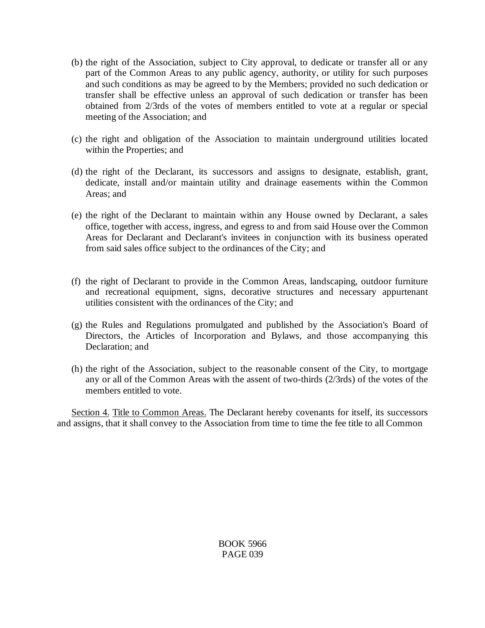- (b) the right of the Association, subject to City approval, to dedicate or transfer all or any part of the Common Areas to any public agency, authority, or utility for such purposes and such conditions as may be agreed to by the Members; provided no such dedication or transfer shall be effective unless an approval of such dedication or transfer has been obtained from 2/3rds of the votes of members entitled to vote at a regular or special meeting of the Association; and
- (c) the right and obligation of the Association to maintain underground utilities located within the Properties; and
- (d) the right of the Declarant, its successors and assigns to designate, establish, grant, dedicate, install and/or maintain utility and drainage easements within the Common Areas; and
- (e) the right of the Declarant to maintain within any House owned by Declarant, a sales office, together with access, ingress, and egress to and from said House over the Common Areas for Declarant and Declarant's invitees in conjunction with its business operated from said sales office subject to the ordinances of the City; and
- (f) the right of Declarant to provide in the Common Areas, landscaping, outdoor furniture and recreational equipment, signs, decorative structures and necessary appurtenant utilities consistent with the ordinances of the City; and
- (g) the Rules and Regulations promulgated and published by the Association's Board of Directors, the Articles of Incorporation and Bylaws, and those accompanying this Declaration; and
- (h) the right of the Association, subject to the reasonable consent of the City, to mortgage any or all of the Common Areas with the assent of two-thirds (2/3rds) of the votes of the members entitled to vote.

Section 4. Title to Common Areas. The Declarant hereby covenants for itself, its successors and assigns, that it shall convey to the Association from time to time the fee title to all Common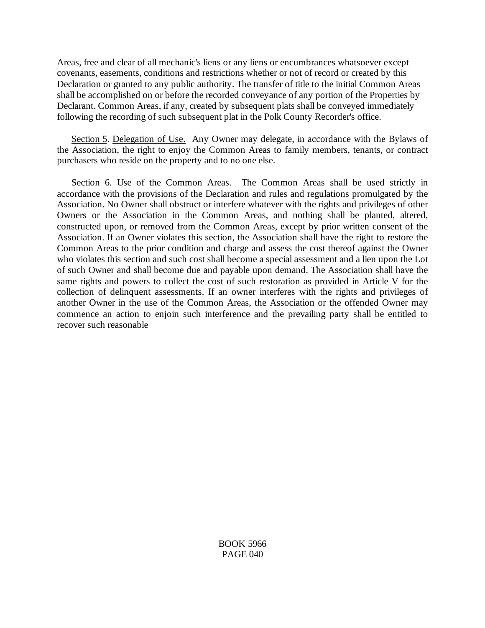Areas, free and clear of all mechanic's liens or any liens or encumbrances whatsoever except covenants, easements, conditions and restrictions whether or not of record or created by this Declaration or granted to any public authority. The transfer of title to the initial Common Areas shall be accomplished on or before the recorded conveyance of any portion of the Properties by Declarant. Common Areas, if any, created by subsequent plats shall be conveyed immediately following the recording of such subsequent plat in the Polk County Recorder's office.

Section 5. Delegation of Use. Any Owner may delegate, in accordance with the Bylaws of the Association, the right to enjoy the Common Areas to family members, tenants, or contract purchasers who reside on the property and to no one else.

Section 6. Use of the Common Areas. The Common Areas shall be used strictly in accordance with the provisions of the Declaration and rules and regulations promulgated by the Association. No Owner shall obstruct or interfere whatever with the rights and privileges of other Owners or the Association in the Common Areas, and nothing shall be planted, altered, constructed upon, or removed from the Common Areas, except by prior written consent of the Association. If an Owner violates this section, the Association shall have the right to restore the Common Areas to the prior condition and charge and assess the cost thereof against the Owner who violates this section and such cost shall become a special assessment and a lien upon the Lot of such Owner and shall become due and payable upon demand. The Association shall have the same rights and powers to collect the cost of such restoration as provided in Article V for the collection of delinquent assessments. If an owner interferes with the rights and privileges of another Owner in the use of the Common Areas, the Association or the offended Owner may commence an action to enjoin such interference and the prevailing party shall be entitled to recover such reasonable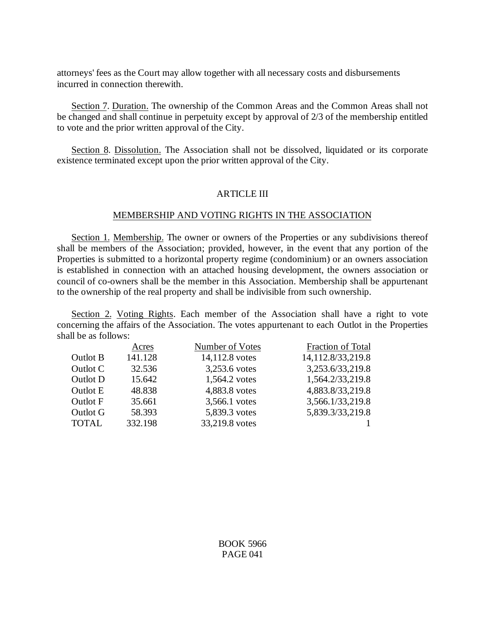attorneys' fees as the Court may allow together with all necessary costs and disbursements incurred in connection therewith.

Section 7. Duration. The ownership of the Common Areas and the Common Areas shall not be changed and shall continue in perpetuity except by approval of 2/3 of the membership entitled to vote and the prior written approval of the City.

Section 8. Dissolution. The Association shall not be dissolved, liquidated or its corporate existence terminated except upon the prior written approval of the City.

## ARTICLE III

### MEMBERSHIP AND VOTING RIGHTS IN THE ASSOCIATION

Section 1. Membership. The owner or owners of the Properties or any subdivisions thereof shall be members of the Association; provided, however, in the event that any portion of the Properties is submitted to a horizontal property regime (condominium) or an owners association is established in connection with an attached housing development, the owners association or council of co-owners shall be the member in this Association. Membership shall be appurtenant to the ownership of the real property and shall be indivisible from such ownership.

Section 2. Voting Rights. Each member of the Association shall have a right to vote concerning the affairs of the Association. The votes appurtenant to each Outlot in the Properties shall be as follows:

|              | Acres   | Number of Votes | Fraction of Total |
|--------------|---------|-----------------|-------------------|
| Outlot B     | 141.128 | 14,112.8 votes  | 14,112.8/33,219.8 |
| Outlot C     | 32.536  | 3,253.6 votes   | 3,253.6/33,219.8  |
| Outlot D     | 15.642  | 1,564.2 votes   | 1,564.2/33,219.8  |
| Outlot E     | 48.838  | 4,883.8 votes   | 4,883.8/33,219.8  |
| Outlot F     | 35.661  | 3,566.1 votes   | 3,566.1/33,219.8  |
| Outlot G     | 58.393  | 5,839.3 votes   | 5,839.3/33,219.8  |
| <b>TOTAL</b> | 332.198 | 33,219.8 votes  |                   |
|              |         |                 |                   |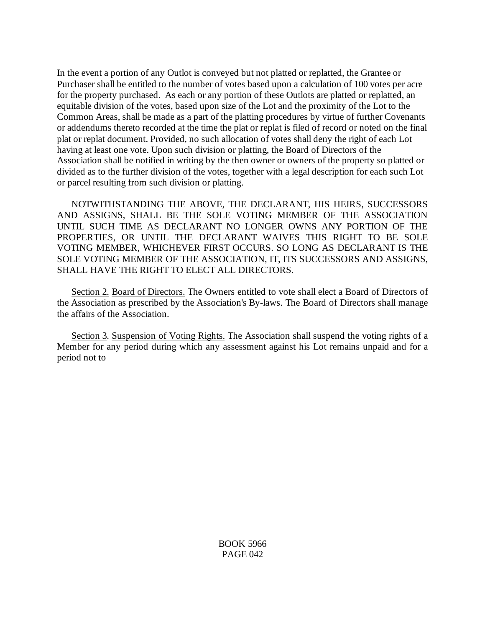In the event a portion of any Outlot is conveyed but not platted or replatted, the Grantee or Purchaser shall be entitled to the number of votes based upon a calculation of 100 votes per acre for the property purchased. As each or any portion of these Outlots are platted or replatted, an equitable division of the votes, based upon size of the Lot and the proximity of the Lot to the Common Areas, shall be made as a part of the platting procedures by virtue of further Covenants or addendums thereto recorded at the time the plat or replat is filed of record or noted on the final plat or replat document. Provided, no such allocation of votes shall deny the right of each Lot having at least one vote. Upon such division or platting, the Board of Directors of the Association shall be notified in writing by the then owner or owners of the property so platted or divided as to the further division of the votes, together with a legal description for each such Lot or parcel resulting from such division or platting.

NOTWITHSTANDING THE ABOVE, THE DECLARANT, HIS HEIRS, SUCCESSORS AND ASSIGNS, SHALL BE THE SOLE VOTING MEMBER OF THE ASSOCIATION UNTIL SUCH TIME AS DECLARANT NO LONGER OWNS ANY PORTION OF THE PROPERTIES, OR UNTIL THE DECLARANT WAIVES THIS RIGHT TO BE SOLE VOTING MEMBER, WHICHEVER FIRST OCCURS. SO LONG AS DECLARANT IS THE SOLE VOTING MEMBER OF THE ASSOCIATION, IT, ITS SUCCESSORS AND ASSIGNS, SHALL HAVE THE RIGHT TO ELECT ALL DIRECTORS.

Section 2. Board of Directors. The Owners entitled to vote shall elect a Board of Directors of the Association as prescribed by the Association's By-laws. The Board of Directors shall manage the affairs of the Association.

Section 3. Suspension of Voting Rights. The Association shall suspend the voting rights of a Member for any period during which any assessment against his Lot remains unpaid and for a period not to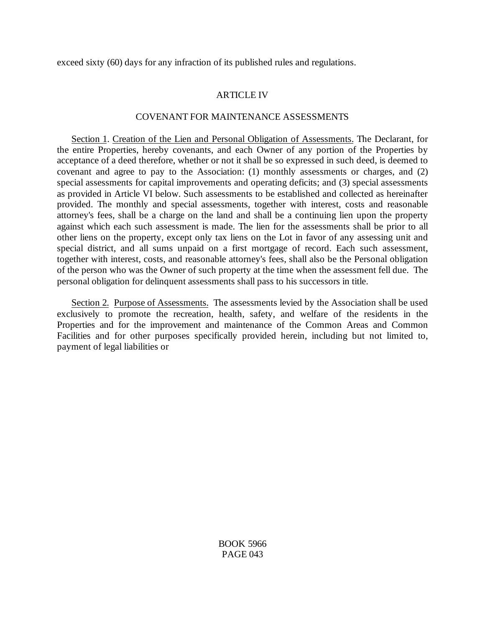exceed sixty (60) days for any infraction of its published rules and regulations.

## ARTICLE IV

#### COVENANT FOR MAINTENANCE ASSESSMENTS

Section 1. Creation of the Lien and Personal Obligation of Assessments. The Declarant, for the entire Properties, hereby covenants, and each Owner of any portion of the Properties by acceptance of a deed therefore, whether or not it shall be so expressed in such deed, is deemed to covenant and agree to pay to the Association: (1) monthly assessments or charges, and (2) special assessments for capital improvements and operating deficits; and (3) special assessments as provided in Article VI below. Such assessments to be established and collected as hereinafter provided. The monthly and special assessments, together with interest, costs and reasonable attorney's fees, shall be a charge on the land and shall be a continuing lien upon the property against which each such assessment is made. The lien for the assessments shall be prior to all other liens on the property, except only tax liens on the Lot in favor of any assessing unit and special district, and all sums unpaid on a first mortgage of record. Each such assessment, together with interest, costs, and reasonable attorney's fees, shall also be the Personal obligation of the person who was the Owner of such property at the time when the assessment fell due. The personal obligation for delinquent assessments shall pass to his successors in title.

Section 2. Purpose of Assessments. The assessments levied by the Association shall be used exclusively to promote the recreation, health, safety, and welfare of the residents in the Properties and for the improvement and maintenance of the Common Areas and Common Facilities and for other purposes specifically provided herein, including but not limited to, payment of legal liabilities or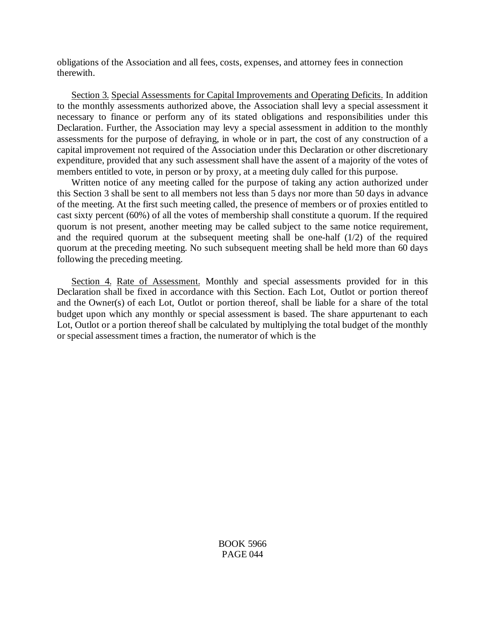obligations of the Association and all fees, costs, expenses, and attorney fees in connection therewith.

Section 3. Special Assessments for Capital Improvements and Operating Deficits. In addition to the monthly assessments authorized above, the Association shall levy a special assessment it necessary to finance or perform any of its stated obligations and responsibilities under this Declaration. Further, the Association may levy a special assessment in addition to the monthly assessments for the purpose of defraying, in whole or in part, the cost of any construction of a capital improvement not required of the Association under this Declaration or other discretionary expenditure, provided that any such assessment shall have the assent of a majority of the votes of members entitled to vote, in person or by proxy, at a meeting duly called for this purpose.

Written notice of any meeting called for the purpose of taking any action authorized under this Section 3 shall be sent to all members not less than 5 days nor more than 50 days in advance of the meeting. At the first such meeting called, the presence of members or of proxies entitled to cast sixty percent (60%) of all the votes of membership shall constitute a quorum. If the required quorum is not present, another meeting may be called subject to the same notice requirement, and the required quorum at the subsequent meeting shall be one-half (1/2) of the required quorum at the preceding meeting. No such subsequent meeting shall be held more than 60 days following the preceding meeting.

Section 4. Rate of Assessment. Monthly and special assessments provided for in this Declaration shall be fixed in accordance with this Section. Each Lot, Outlot or portion thereof and the Owner(s) of each Lot, Outlot or portion thereof, shall be liable for a share of the total budget upon which any monthly or special assessment is based. The share appurtenant to each Lot, Outlot or a portion thereof shall be calculated by multiplying the total budget of the monthly or special assessment times a fraction, the numerator of which is the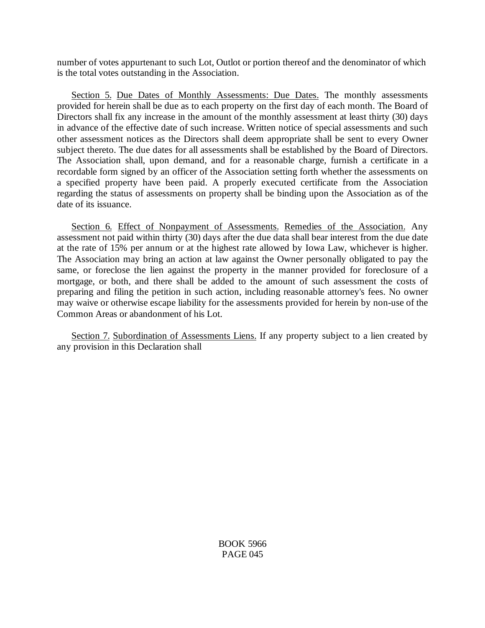number of votes appurtenant to such Lot, Outlot or portion thereof and the denominator of which is the total votes outstanding in the Association.

Section 5. Due Dates of Monthly Assessments: Due Dates. The monthly assessments provided for herein shall be due as to each property on the first day of each month. The Board of Directors shall fix any increase in the amount of the monthly assessment at least thirty (30) days in advance of the effective date of such increase. Written notice of special assessments and such other assessment notices as the Directors shall deem appropriate shall be sent to every Owner subject thereto. The due dates for all assessments shall be established by the Board of Directors. The Association shall, upon demand, and for a reasonable charge, furnish a certificate in a recordable form signed by an officer of the Association setting forth whether the assessments on a specified property have been paid. A properly executed certificate from the Association regarding the status of assessments on property shall be binding upon the Association as of the date of its issuance.

Section 6. Effect of Nonpayment of Assessments. Remedies of the Association. Any assessment not paid within thirty (30) days after the due data shall bear interest from the due date at the rate of 15% per annum or at the highest rate allowed by Iowa Law, whichever is higher. The Association may bring an action at law against the Owner personally obligated to pay the same, or foreclose the lien against the property in the manner provided for foreclosure of a mortgage, or both, and there shall be added to the amount of such assessment the costs of preparing and filing the petition in such action, including reasonable attorney's fees. No owner may waive or otherwise escape liability for the assessments provided for herein by non-use of the Common Areas or abandonment of his Lot.

Section 7. Subordination of Assessments Liens. If any property subject to a lien created by any provision in this Declaration shall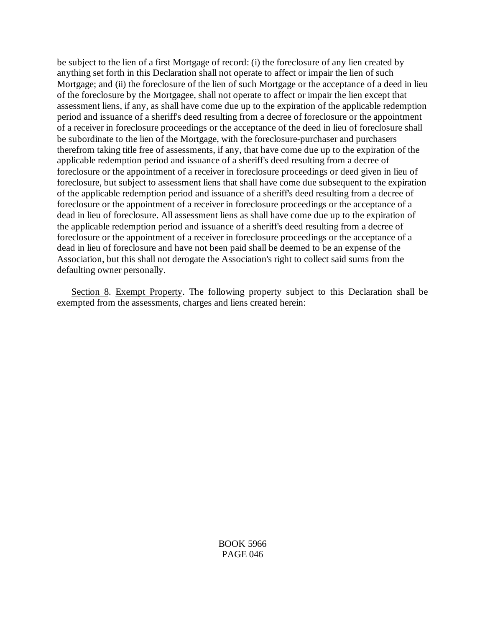be subject to the lien of a first Mortgage of record: (i) the foreclosure of any lien created by anything set forth in this Declaration shall not operate to affect or impair the lien of such Mortgage; and (ii) the foreclosure of the lien of such Mortgage or the acceptance of a deed in lieu of the foreclosure by the Mortgagee, shall not operate to affect or impair the lien except that assessment liens, if any, as shall have come due up to the expiration of the applicable redemption period and issuance of a sheriff's deed resulting from a decree of foreclosure or the appointment of a receiver in foreclosure proceedings or the acceptance of the deed in lieu of foreclosure shall be subordinate to the lien of the Mortgage, with the foreclosure-purchaser and purchasers therefrom taking title free of assessments, if any, that have come due up to the expiration of the applicable redemption period and issuance of a sheriff's deed resulting from a decree of foreclosure or the appointment of a receiver in foreclosure proceedings or deed given in lieu of foreclosure, but subject to assessment liens that shall have come due subsequent to the expiration of the applicable redemption period and issuance of a sheriff's deed resulting from a decree of foreclosure or the appointment of a receiver in foreclosure proceedings or the acceptance of a dead in lieu of foreclosure. All assessment liens as shall have come due up to the expiration of the applicable redemption period and issuance of a sheriff's deed resulting from a decree of foreclosure or the appointment of a receiver in foreclosure proceedings or the acceptance of a dead in lieu of foreclosure and have not been paid shall be deemed to be an expense of the Association, but this shall not derogate the Association's right to collect said sums from the defaulting owner personally.

Section 8. Exempt Property. The following property subject to this Declaration shall be exempted from the assessments, charges and liens created herein: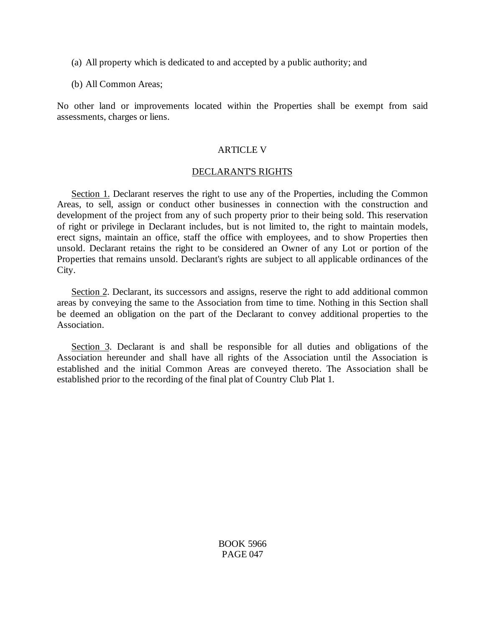- (a) All property which is dedicated to and accepted by a public authority; and
- (b) All Common Areas;

No other land or improvements located within the Properties shall be exempt from said assessments, charges or liens.

## **ARTICLE V**

### DECLARANT'S RIGHTS

Section 1. Declarant reserves the right to use any of the Properties, including the Common Areas, to sell, assign or conduct other businesses in connection with the construction and development of the project from any of such property prior to their being sold. This reservation of right or privilege in Declarant includes, but is not limited to, the right to maintain models, erect signs, maintain an office, staff the office with employees, and to show Properties then unsold. Declarant retains the right to be considered an Owner of any Lot or portion of the Properties that remains unsold. Declarant's rights are subject to all applicable ordinances of the City.

Section 2. Declarant, its successors and assigns, reserve the right to add additional common areas by conveying the same to the Association from time to time. Nothing in this Section shall be deemed an obligation on the part of the Declarant to convey additional properties to the Association.

Section 3. Declarant is and shall be responsible for all duties and obligations of the Association hereunder and shall have all rights of the Association until the Association is established and the initial Common Areas are conveyed thereto. The Association shall be established prior to the recording of the final plat of Country Club Plat 1.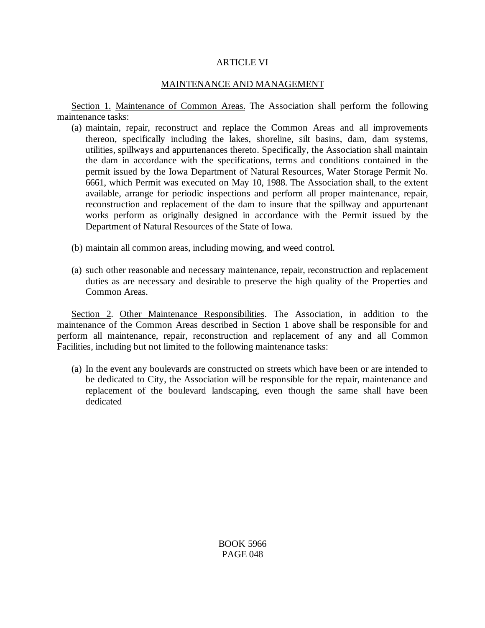# ARTICLE VI

# MAINTENANCE AND MANAGEMENT

Section 1. Maintenance of Common Areas. The Association shall perform the following maintenance tasks:

- (a) maintain, repair, reconstruct and replace the Common Areas and all improvements thereon, specifically including the lakes, shoreline, silt basins, dam, dam systems, utilities, spillways and appurtenances thereto. Specifically, the Association shall maintain the dam in accordance with the specifications, terms and conditions contained in the permit issued by the Iowa Department of Natural Resources, Water Storage Permit No. 6661, which Permit was executed on May 10, 1988. The Association shall, to the extent available, arrange for periodic inspections and perform all proper maintenance, repair, reconstruction and replacement of the dam to insure that the spillway and appurtenant works perform as originally designed in accordance with the Permit issued by the Department of Natural Resources of the State of Iowa.
- (b) maintain all common areas, including mowing, and weed control.
- (a) such other reasonable and necessary maintenance, repair, reconstruction and replacement duties as are necessary and desirable to preserve the high quality of the Properties and Common Areas.

Section 2. Other Maintenance Responsibilities. The Association, in addition to the maintenance of the Common Areas described in Section 1 above shall be responsible for and perform all maintenance, repair, reconstruction and replacement of any and all Common Facilities, including but not limited to the following maintenance tasks:

(a) In the event any boulevards are constructed on streets which have been or are intended to be dedicated to City, the Association will be responsible for the repair, maintenance and replacement of the boulevard landscaping, even though the same shall have been dedicated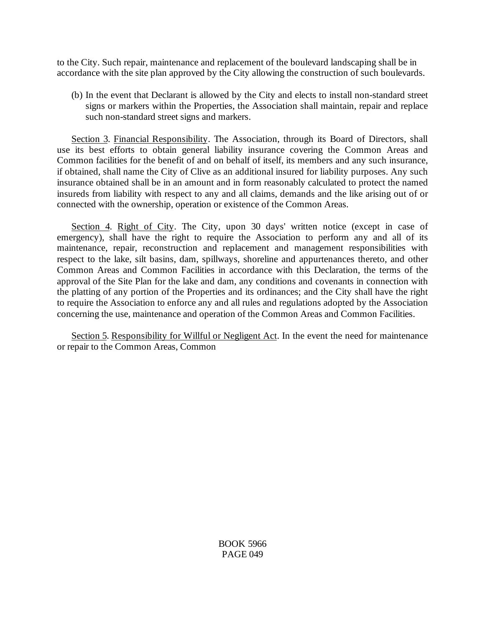to the City. Such repair, maintenance and replacement of the boulevard landscaping shall be in accordance with the site plan approved by the City allowing the construction of such boulevards.

(b) In the event that Declarant is allowed by the City and elects to install non-standard street signs or markers within the Properties, the Association shall maintain, repair and replace such non-standard street signs and markers.

Section 3. Financial Responsibility. The Association, through its Board of Directors, shall use its best efforts to obtain general liability insurance covering the Common Areas and Common facilities for the benefit of and on behalf of itself, its members and any such insurance, if obtained, shall name the City of Clive as an additional insured for liability purposes. Any such insurance obtained shall be in an amount and in form reasonably calculated to protect the named insureds from liability with respect to any and all claims, demands and the like arising out of or connected with the ownership, operation or existence of the Common Areas.

Section 4. Right of City. The City, upon 30 days' written notice (except in case of emergency), shall have the right to require the Association to perform any and all of its maintenance, repair, reconstruction and replacement and management responsibilities with respect to the lake, silt basins, dam, spillways, shoreline and appurtenances thereto, and other Common Areas and Common Facilities in accordance with this Declaration, the terms of the approval of the Site Plan for the lake and dam, any conditions and covenants in connection with the platting of any portion of the Properties and its ordinances; and the City shall have the right to require the Association to enforce any and all rules and regulations adopted by the Association concerning the use, maintenance and operation of the Common Areas and Common Facilities.

Section 5. Responsibility for Willful or Negligent Act. In the event the need for maintenance or repair to the Common Areas, Common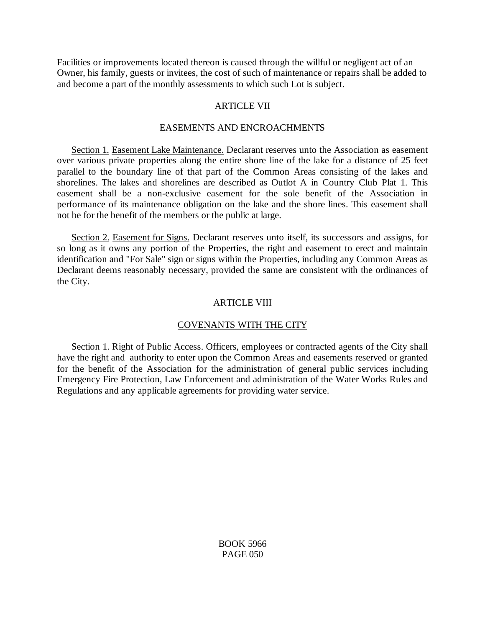Facilities or improvements located thereon is caused through the willful or negligent act of an Owner, his family, guests or invitees, the cost of such of maintenance or repairs shall be added to and become a part of the monthly assessments to which such Lot is subject.

# ARTICLE VII

# EASEMENTS AND ENCROACHMENTS

Section 1. Easement Lake Maintenance. Declarant reserves unto the Association as easement over various private properties along the entire shore line of the lake for a distance of 25 feet parallel to the boundary line of that part of the Common Areas consisting of the lakes and shorelines. The lakes and shorelines are described as Outlot A in Country Club Plat 1. This easement shall be a non-exclusive easement for the sole benefit of the Association in performance of its maintenance obligation on the lake and the shore lines. This easement shall not be for the benefit of the members or the public at large.

Section 2. Easement for Signs. Declarant reserves unto itself, its successors and assigns, for so long as it owns any portion of the Properties, the right and easement to erect and maintain identification and "For Sale" sign or signs within the Properties, including any Common Areas as Declarant deems reasonably necessary, provided the same are consistent with the ordinances of the City.

# ARTICLE VIII

# COVENANTS WITH THE CITY

Section 1. Right of Public Access. Officers, employees or contracted agents of the City shall have the right and authority to enter upon the Common Areas and easements reserved or granted for the benefit of the Association for the administration of general public services including Emergency Fire Protection, Law Enforcement and administration of the Water Works Rules and Regulations and any applicable agreements for providing water service.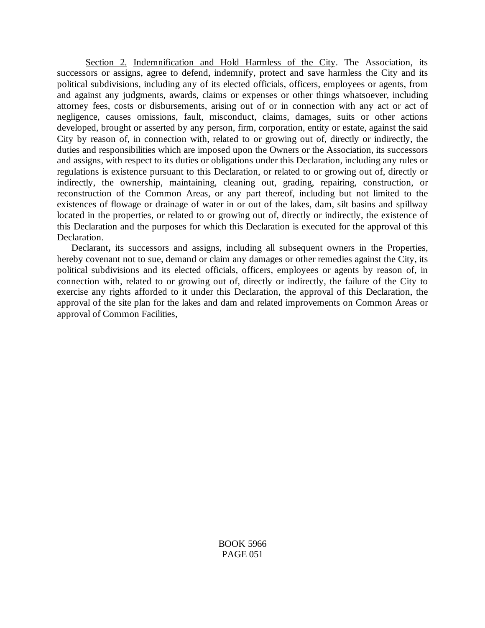Section 2. Indemnification and Hold Harmless of the City. The Association, its successors or assigns, agree to defend, indemnify, protect and save harmless the City and its political subdivisions, including any of its elected officials, officers, employees or agents, from and against any judgments, awards, claims or expenses or other things whatsoever, including attorney fees, costs or disbursements, arising out of or in connection with any act or act of negligence, causes omissions, fault, misconduct, claims, damages, suits or other actions developed, brought or asserted by any person, firm, corporation, entity or estate, against the said City by reason of, in connection with, related to or growing out of, directly or indirectly, the duties and responsibilities which are imposed upon the Owners or the Association, its successors and assigns, with respect to its duties or obligations under this Declaration, including any rules or regulations is existence pursuant to this Declaration, or related to or growing out of, directly or indirectly, the ownership, maintaining, cleaning out, grading, repairing, construction, or reconstruction of the Common Areas, or any part thereof, including but not limited to the existences of flowage or drainage of water in or out of the lakes, dam, silt basins and spillway located in the properties, or related to or growing out of, directly or indirectly, the existence of this Declaration and the purposes for which this Declaration is executed for the approval of this Declaration.

Declarant**,** its successors and assigns, including all subsequent owners in the Properties, hereby covenant not to sue, demand or claim any damages or other remedies against the City, its political subdivisions and its elected officials, officers, employees or agents by reason of, in connection with, related to or growing out of, directly or indirectly, the failure of the City to exercise any rights afforded to it under this Declaration, the approval of this Declaration, the approval of the site plan for the lakes and dam and related improvements on Common Areas or approval of Common Facilities,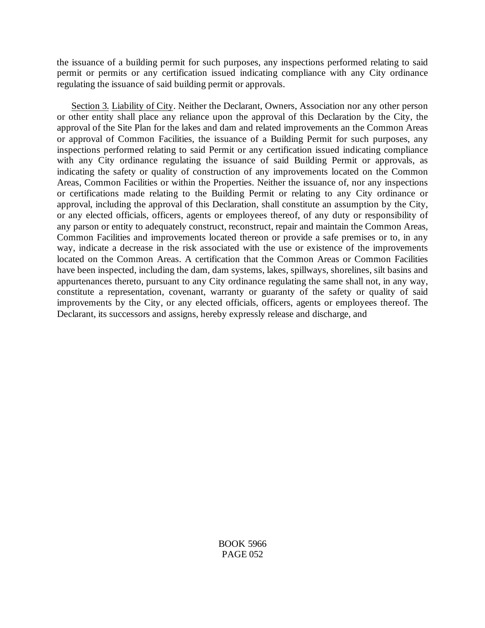the issuance of a building permit for such purposes, any inspections performed relating to said permit or permits or any certification issued indicating compliance with any City ordinance regulating the issuance of said building permit or approvals.

Section 3. Liability of City. Neither the Declarant, Owners, Association nor any other person or other entity shall place any reliance upon the approval of this Declaration by the City, the approval of the Site Plan for the lakes and dam and related improvements an the Common Areas or approval of Common Facilities, the issuance of a Building Permit for such purposes, any inspections performed relating to said Permit or any certification issued indicating compliance with any City ordinance regulating the issuance of said Building Permit or approvals, as indicating the safety or quality of construction of any improvements located on the Common Areas, Common Facilities or within the Properties. Neither the issuance of, nor any inspections or certifications made relating to the Building Permit or relating to any City ordinance or approval, including the approval of this Declaration, shall constitute an assumption by the City, or any elected officials, officers, agents or employees thereof, of any duty or responsibility of any parson or entity to adequately construct, reconstruct, repair and maintain the Common Areas, Common Facilities and improvements located thereon or provide a safe premises or to, in any way, indicate a decrease in the risk associated with the use or existence of the improvements located on the Common Areas. A certification that the Common Areas or Common Facilities have been inspected, including the dam, dam systems, lakes, spillways, shorelines, silt basins and appurtenances thereto, pursuant to any City ordinance regulating the same shall not, in any way, constitute a representation, covenant, warranty or guaranty of the safety or quality of said improvements by the City, or any elected officials, officers, agents or employees thereof. The Declarant, its successors and assigns, hereby expressly release and discharge, and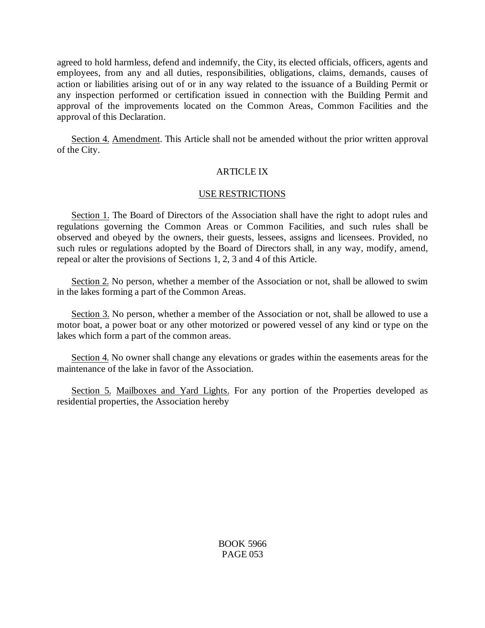agreed to hold harmless, defend and indemnify, the City, its elected officials, officers, agents and employees, from any and all duties, responsibilities, obligations, claims, demands, causes of action or liabilities arising out of or in any way related to the issuance of a Building Permit or any inspection performed or certification issued in connection with the Building Permit and approval of the improvements located on the Common Areas, Common Facilities and the approval of this Declaration.

Section 4. Amendment. This Article shall not be amended without the prior written approval of the City.

# ARTICLE IX

## USE RESTRICTIONS

Section 1. The Board of Directors of the Association shall have the right to adopt rules and regulations governing the Common Areas or Common Facilities, and such rules shall be observed and obeyed by the owners, their guests, lessees, assigns and licensees. Provided, no such rules or regulations adopted by the Board of Directors shall, in any way, modify, amend, repeal or alter the provisions of Sections 1, 2, 3 and 4 of this Article.

Section 2. No person, whether a member of the Association or not, shall be allowed to swim in the lakes forming a part of the Common Areas.

Section 3. No person, whether a member of the Association or not, shall be allowed to use a motor boat, a power boat or any other motorized or powered vessel of any kind or type on the lakes which form a part of the common areas.

Section 4. No owner shall change any elevations or grades within the easements areas for the maintenance of the lake in favor of the Association.

Section 5. Mailboxes and Yard Lights. For any portion of the Properties developed as residential properties, the Association hereby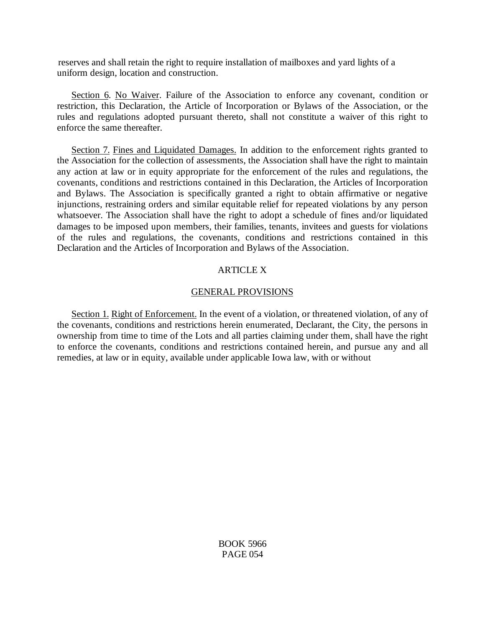reserves and shall retain the right to require installation of mailboxes and yard lights of a uniform design, location and construction.

Section 6. No Waiver. Failure of the Association to enforce any covenant, condition or restriction, this Declaration, the Article of Incorporation or Bylaws of the Association, or the rules and regulations adopted pursuant thereto, shall not constitute a waiver of this right to enforce the same thereafter.

Section 7. Fines and Liquidated Damages. In addition to the enforcement rights granted to the Association for the collection of assessments, the Association shall have the right to maintain any action at law or in equity appropriate for the enforcement of the rules and regulations, the covenants, conditions and restrictions contained in this Declaration, the Articles of Incorporation and Bylaws. The Association is specifically granted a right to obtain affirmative or negative injunctions, restraining orders and similar equitable relief for repeated violations by any person whatsoever. The Association shall have the right to adopt a schedule of fines and/or liquidated damages to be imposed upon members, their families, tenants, invitees and guests for violations of the rules and regulations, the covenants, conditions and restrictions contained in this Declaration and the Articles of Incorporation and Bylaws of the Association.

# ARTICLE X

# GENERAL PROVISIONS

Section 1. Right of Enforcement. In the event of a violation, or threatened violation, of any of the covenants, conditions and restrictions herein enumerated, Declarant, the City, the persons in ownership from time to time of the Lots and all parties claiming under them, shall have the right to enforce the covenants, conditions and restrictions contained herein, and pursue any and all remedies, at law or in equity, available under applicable Iowa law, with or without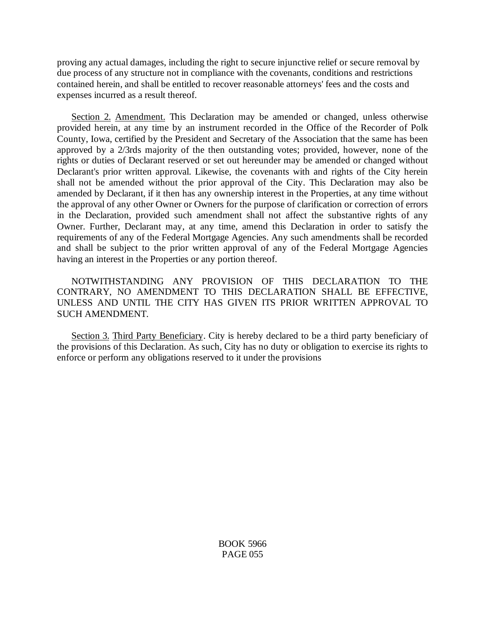proving any actual damages, including the right to secure injunctive relief or secure removal by due process of any structure not in compliance with the covenants, conditions and restrictions contained herein, and shall be entitled to recover reasonable attorneys' fees and the costs and expenses incurred as a result thereof.

Section 2. Amendment. This Declaration may be amended or changed, unless otherwise provided herein, at any time by an instrument recorded in the Office of the Recorder of Polk County, Iowa, certified by the President and Secretary of the Association that the same has been approved by a 2/3rds majority of the then outstanding votes; provided, however, none of the rights or duties of Declarant reserved or set out hereunder may be amended or changed without Declarant's prior written approval. Likewise, the covenants with and rights of the City herein shall not be amended without the prior approval of the City. This Declaration may also be amended by Declarant, if it then has any ownership interest in the Properties, at any time without the approval of any other Owner or Owners for the purpose of clarification or correction of errors in the Declaration, provided such amendment shall not affect the substantive rights of any Owner. Further, Declarant may, at any time, amend this Declaration in order to satisfy the requirements of any of the Federal Mortgage Agencies. Any such amendments shall be recorded and shall be subject to the prior written approval of any of the Federal Mortgage Agencies having an interest in the Properties or any portion thereof.

NOTWITHSTANDING ANY PROVISION OF THIS DECLARATION TO THE CONTRARY, NO AMENDMENT TO THIS DECLARATION SHALL BE EFFECTIVE, UNLESS AND UNTIL THE CITY HAS GIVEN ITS PRIOR WRITTEN APPROVAL TO SUCH AMENDMENT.

Section 3. Third Party Beneficiary. City is hereby declared to be a third party beneficiary of the provisions of this Declaration. As such, City has no duty or obligation to exercise its rights to enforce or perform any obligations reserved to it under the provisions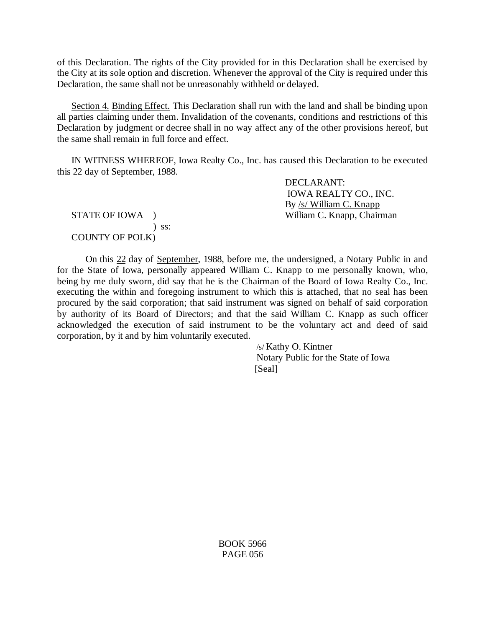of this Declaration. The rights of the City provided for in this Declaration shall be exercised by the City at its sole option and discretion. Whenever the approval of the City is required under this Declaration, the same shall not be unreasonably withheld or delayed.

Section 4. Binding Effect. This Declaration shall run with the land and shall be binding upon all parties claiming under them. Invalidation of the covenants, conditions and restrictions of this Declaration by judgment or decree shall in no way affect any of the other provisions hereof, but the same shall remain in full force and effect.

IN WITNESS WHEREOF, Iowa Realty Co., Inc. has caused this Declaration to be executed this 22 day of September, 1988.

 ) ss: COUNTY OF POLK)

DECLARANT: IOWA REALTY CO., INC. By /s/ William C. Knapp STATE OF IOWA ) William C. Knapp, Chairman

On this 22 day of September, 1988, before me, the undersigned, a Notary Public in and for the State of Iowa, personally appeared William C. Knapp to me personally known, who, being by me duly sworn, did say that he is the Chairman of the Board of Iowa Realty Co., Inc. executing the within and foregoing instrument to which this is attached, that no seal has been procured by the said corporation; that said instrument was signed on behalf of said corporation by authority of its Board of Directors; and that the said William C. Knapp as such officer acknowledged the execution of said instrument to be the voluntary act and deed of said corporation, by it and by him voluntarily executed.

> /s/ Kathy O. Kintner Notary Public for the State of Iowa [Seal]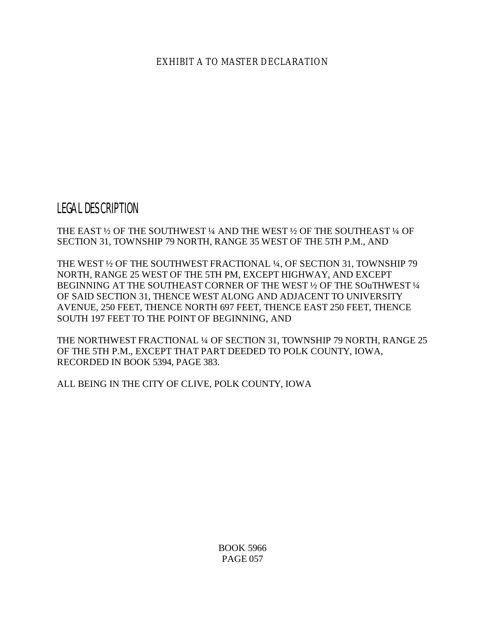EXHIBIT A TO MASTER DECLARATION

LEGAL DESCRIPTION

THE EAST ½ OF THE SOUTHWEST ¼ AND THE WEST ½ OF THE SOUTHEAST ¼ OF SECTION 31, TOWNSHIP 79 NORTH, RANGE 35 WEST OF THE 5TH P.M., AND

THE WEST ½ OF THE SOUTHWEST FRACTIONAL ¼, OF SECTION 31, TOWNSHIP 79 NORTH, RANGE 25 WEST OF THE 5TH PM, EXCEPT HIGHWAY, AND EXCEPT BEGINNING AT THE SOUTHEAST CORNER OF THE WEST ½ OF THE SOuTHWEST ¼ OF SAID SECTION 31, THENCE WEST ALONG AND ADJACENT TO UNIVERSITY AVENUE, 250 FEET, THENCE NORTH 697 FEET, THENCE EAST 250 FEET, THENCE SOUTH 197 FEET TO THE POINT OF BEGINNING, AND

THE NORTHWEST FRACTIONAL ¼ OF SECTION 31, TOWNSHIP 79 NORTH, RANGE 25 OF THE 5TH P.M., EXCEPT THAT PART DEEDED TO POLK COUNTY, IOWA, RECORDED IN BOOK 5394, PAGE 383.

ALL BEING IN THE CITY OF CLIVE, POLK COUNTY, IOWA